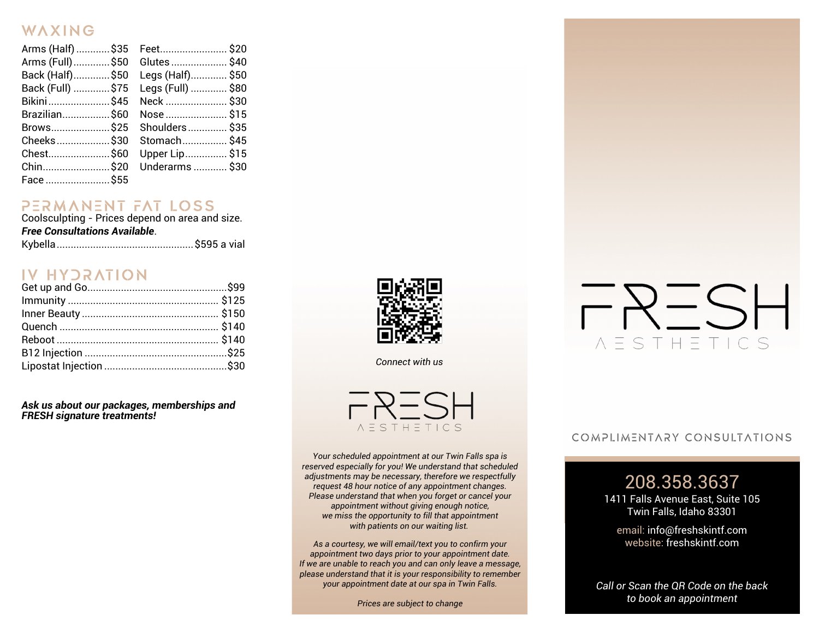#### WAXING

| Arms (Half) \$35    Feet\$20 |                   |  |
|------------------------------|-------------------|--|
| Arms (Full)\$50 Glutes\$40   |                   |  |
| Back (Half)\$50              | Legs (Half) \$50  |  |
| Back (Full) \$75             | Legs (Full)  \$80 |  |
| Bikini\$45                   | Neck  \$30        |  |
| Brazilian\$60                | Nose  \$15        |  |
| Brows\$25                    | Shoulders \$35    |  |
| Cheeks\$30                   | Stomach \$45      |  |
| Chest \$60                   | Upper Lip \$15    |  |
| Chin\$20                     | Underarms  \$30   |  |
| Face  \$55                   |                   |  |

## $P \equiv R M N N \equiv N T F A T LOS S$ <br>Coolsculpting - Prices depend on area and size.

*Free Consultations Available*.

|--|--|--|--|--|

#### **IV HYDRATION**

*Ask us about our packages, memberships and FRESH signature treatments!*



*Connect with us*



*Your scheduled appointment at our Twin Falls spa is reserved especially for you! We understand that scheduled adjustments may be necessary, therefore we respectfully request 48 hour notice of any appointment changes. Please understand that when you forget or cancel your appointment without giving enough notice, we miss the opportunity to fill that appointment with patients on our waiting list.*

*As a courtesy, we will email/text you to confirm your appointment two days prior to your appointment date. If we are unable to reach you and can only leave a message, please understand that it is your responsibility to remember your appointment date at our spa in Twin Falls.*

*Prices are subject to change* 

# $P$ RESH *NESTHETICS*

#### COMPLIMENTARY CONSULTATIONS

#### 208.358.3637

1411 Falls Avenue East, Suite 105 Twin Falls, Idaho 83301

email: info@freshskintf.com website: freshskintf.com

*Call or Scan the QR Code on the back to book an appointment*